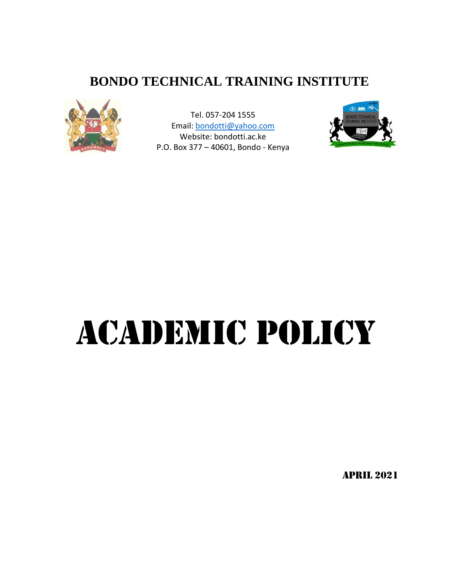## **BONDO TECHNICAL TRAINING INSTITUTE**



Tel. 057-204 1555 Email: [bondotti@yahoo.com](mailto:bondotti@yahoo.com) Website: bondotti.ac.ke P.O. Box 377 – 40601, Bondo - Kenya



# ACADEMIC POLICY

APRIL 2021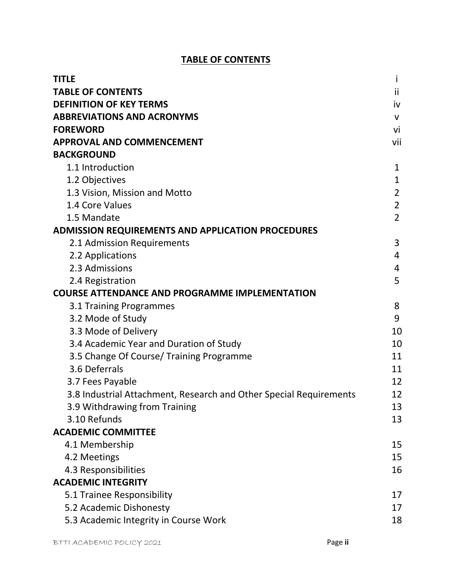#### **TABLE OF CONTENTS**

| <b>TITLE</b>                                                       | i              |
|--------------------------------------------------------------------|----------------|
| <b>TABLE OF CONTENTS</b>                                           | ii             |
| <b>DEFINITION OF KEY TERMS</b>                                     | iv             |
| <b>ABBREVIATIONS AND ACRONYMS</b>                                  | $\mathsf{V}$   |
| <b>FOREWORD</b>                                                    | vi             |
| <b>APPROVAL AND COMMENCEMENT</b>                                   | vii            |
| <b>BACKGROUND</b>                                                  |                |
| 1.1 Introduction                                                   | $\mathbf{1}$   |
| 1.2 Objectives                                                     | $\mathbf{1}$   |
| 1.3 Vision, Mission and Motto                                      | $\overline{2}$ |
| 1.4 Core Values                                                    | $\overline{2}$ |
| 1.5 Mandate                                                        | $\overline{2}$ |
| <b>ADMISSION REQUIREMENTS AND APPLICATION PROCEDURES</b>           |                |
| 2.1 Admission Requirements                                         | 3              |
| 2.2 Applications                                                   | 4              |
| 2.3 Admissions                                                     | 4              |
| 2.4 Registration                                                   | 5              |
| <b>COURSE ATTENDANCE AND PROGRAMME IMPLEMENTATION</b>              |                |
| 3.1 Training Programmes                                            | 8              |
| 3.2 Mode of Study                                                  | 9              |
| 3.3 Mode of Delivery                                               | 10             |
| 3.4 Academic Year and Duration of Study                            | 10             |
| 3.5 Change Of Course/ Training Programme                           | 11             |
| 3.6 Deferrals                                                      | 11             |
| 3.7 Fees Payable                                                   | 12             |
| 3.8 Industrial Attachment, Research and Other Special Requirements | 12             |
| 3.9 Withdrawing from Training                                      | 13             |
| 3.10 Refunds                                                       | 13             |
| <b>ACADEMIC COMMITTEE</b>                                          |                |
| 4.1 Membership                                                     | 15             |
| 4.2 Meetings                                                       | 15             |
| 4.3 Responsibilities                                               | 16             |
| <b>ACADEMIC INTEGRITY</b>                                          |                |
| 5.1 Trainee Responsibility                                         | 17             |
| 5.2 Academic Dishonesty                                            | 17             |
| 5.3 Academic Integrity in Course Work                              | 18             |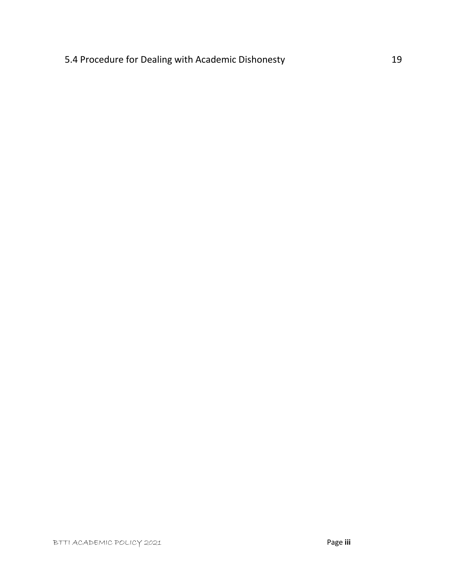### 5.4 Procedure for Dealing with Academic Dishonesty 19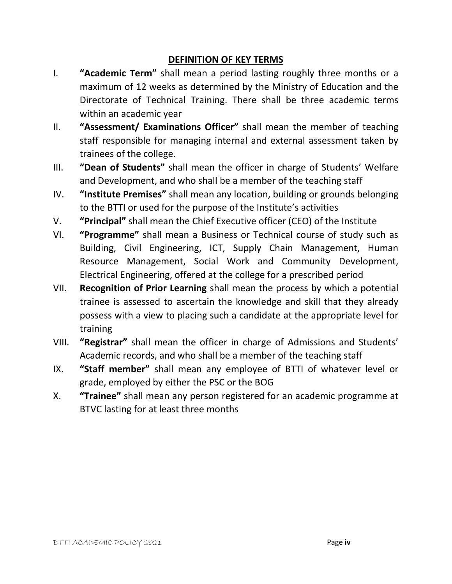#### **DEFINITION OF KEY TERMS**

- I. **"Academic Term"** shall mean a period lasting roughly three months or a maximum of 12 weeks as determined by the Ministry of Education and the Directorate of Technical Training. There shall be three academic terms within an academic year
- II. **"Assessment/ Examinations Officer"** shall mean the member of teaching staff responsible for managing internal and external assessment taken by trainees of the college.
- III. **"Dean of Students"** shall mean the officer in charge of Students' Welfare and Development, and who shall be a member of the teaching staff
- IV. **"Institute Premises"** shall mean any location, building or grounds belonging to the BTTI or used for the purpose of the Institute's activities
- V. **"Principal"** shall mean the Chief Executive officer (CEO) of the Institute
- VI. **"Programme"** shall mean a Business or Technical course of study such as Building, Civil Engineering, ICT, Supply Chain Management, Human Resource Management, Social Work and Community Development, Electrical Engineering, offered at the college for a prescribed period
- VII. **Recognition of Prior Learning** shall mean the process by which a potential trainee is assessed to ascertain the knowledge and skill that they already possess with a view to placing such a candidate at the appropriate level for training
- VIII. **"Registrar"** shall mean the officer in charge of Admissions and Students' Academic records, and who shall be a member of the teaching staff
- IX. **"Staff member"** shall mean any employee of BTTI of whatever level or grade, employed by either the PSC or the BOG
- X. **"Trainee"** shall mean any person registered for an academic programme at BTVC lasting for at least three months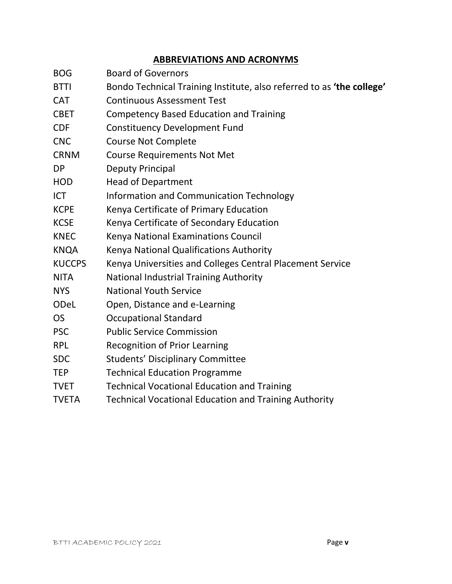#### **ABBREVIATIONS AND ACRONYMS**

- BOG Board of Governors
- BTTI Bondo Technical Training Institute, also referred to as **'the college'**
- CAT Continuous Assessment Test
- CBET Competency Based Education and Training
- CDF Constituency Development Fund
- CNC Course Not Complete
- CRNM Course Requirements Not Met
- DP Deputy Principal
- HOD Head of Department
- ICT Information and Communication Technology
- KCPE Kenya Certificate of Primary Education
- KCSE Kenya Certificate of Secondary Education
- KNEC Kenya National Examinations Council
- KNQA Kenya National Qualifications Authority
- KUCCPS Kenya Universities and Colleges Central Placement Service
- NITA National Industrial Training Authority
- NYS National Youth Service
- ODeL Open, Distance and e-Learning
- OS Occupational Standard
- PSC Public Service Commission
- RPL Recognition of Prior Learning
- SDC Students' Disciplinary Committee
- TEP Technical Education Programme
- TVET Technical Vocational Education and Training
- TVETA Technical Vocational Education and Training Authority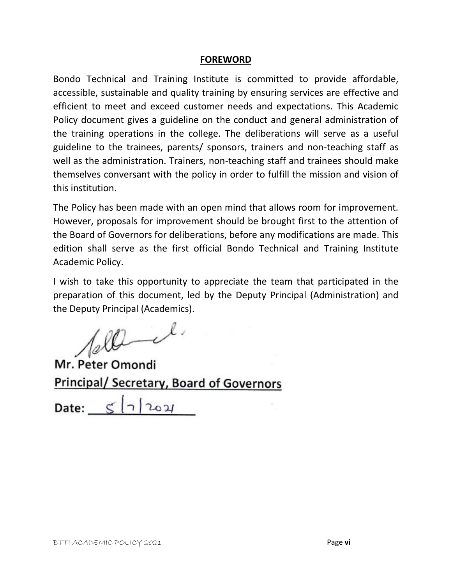#### **FOREWORD**

Bondo Technical and Training Institute is committed to provide affordable, accessible, sustainable and quality training by ensuring services are effective and efficient to meet and exceed customer needs and expectations. This Academic Policy document gives a guideline on the conduct and general administration of the training operations in the college. The deliberations will serve as a useful guideline to the trainees, parents/ sponsors, trainers and non-teaching staff as well as the administration. Trainers, non-teaching staff and trainees should make themselves conversant with the policy in order to fulfill the mission and vision of this institution.

The Policy has been made with an open mind that allows room for improvement. However, proposals for improvement should be brought first to the attention of the Board of Governors for deliberations, before any modifications are made. This edition shall serve as the first official Bondo Technical and Training Institute Academic Policy.

I wish to take this opportunity to appreciate the team that participated in the preparation of this document, led by the Deputy Principal (Administration) and the Deputy Principal (Academics).

 $400 - 1$ 

Mr. Peter Omondi **Principal/ Secretary, Board of Governors** 

Date:  $\leq$   $\lceil \frac{1}{204} \rceil$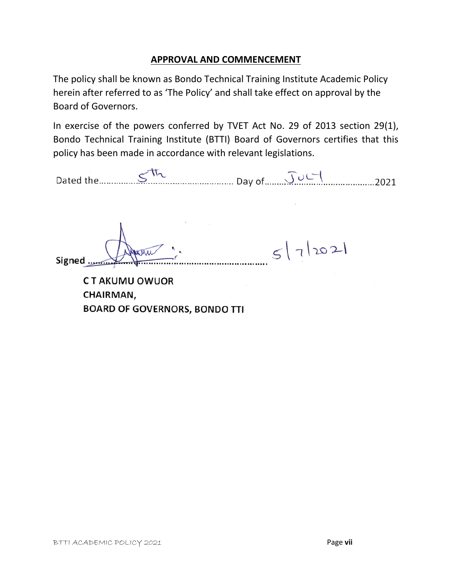#### **APPROVAL AND COMMENCEMENT**

The policy shall be known as Bondo Technical Training Institute Academic Policy herein after referred to as 'The Policy' and shall take effect on approval by the Board of Governors.

In exercise of the powers conferred by TVET Act No. 29 of 2013 section 29(1), Bondo Technical Training Institute (BTTI) Board of Governors certifies that this policy has been made in accordance with relevant legislations.

Dated the Sth Day of July

 $5|7|202|$ Signed .......

**CT AKUMU OWUOR** CHAIRMAN, **BOARD OF GOVERNORS, BONDO TTI**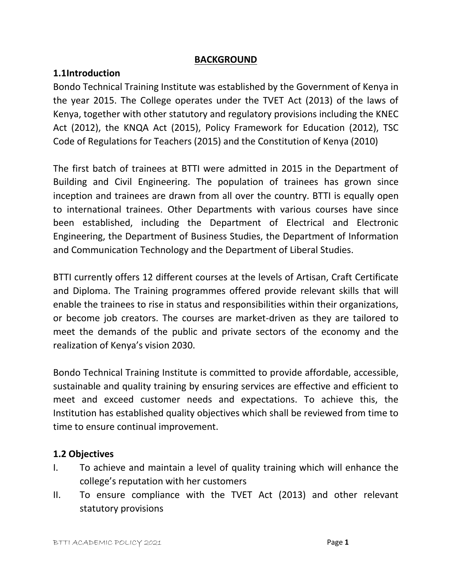#### **BACKGROUND**

#### **1.1Introduction**

Bondo Technical Training Institute was established by the Government of Kenya in the year 2015. The College operates under the TVET Act (2013) of the laws of Kenya, together with other statutory and regulatory provisions including the KNEC Act (2012), the KNQA Act (2015), Policy Framework for Education (2012), TSC Code of Regulations for Teachers (2015) and the Constitution of Kenya (2010)

The first batch of trainees at BTTI were admitted in 2015 in the Department of Building and Civil Engineering. The population of trainees has grown since inception and trainees are drawn from all over the country. BTTI is equally open to international trainees. Other Departments with various courses have since been established, including the Department of Electrical and Electronic Engineering, the Department of Business Studies, the Department of Information and Communication Technology and the Department of Liberal Studies.

BTTI currently offers 12 different courses at the levels of Artisan, Craft Certificate and Diploma. The Training programmes offered provide relevant skills that will enable the trainees to rise in status and responsibilities within their organizations, or become job creators. The courses are market-driven as they are tailored to meet the demands of the public and private sectors of the economy and the realization of Kenya's vision 2030.

Bondo Technical Training Institute is committed to provide affordable, accessible, sustainable and quality training by ensuring services are effective and efficient to meet and exceed customer needs and expectations. To achieve this, the Institution has established quality objectives which shall be reviewed from time to time to ensure continual improvement.

#### **1.2 Objectives**

- I. To achieve and maintain a level of quality training which will enhance the college's reputation with her customers
- II. To ensure compliance with the TVET Act (2013) and other relevant statutory provisions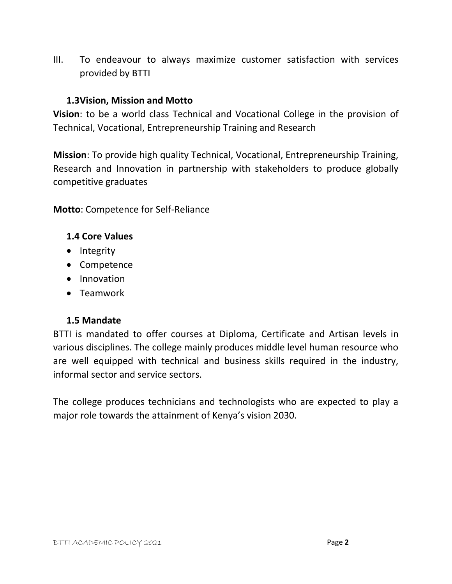III. To endeavour to always maximize customer satisfaction with services provided by BTTI

#### **1.3Vision, Mission and Motto**

**Vision**: to be a world class Technical and Vocational College in the provision of Technical, Vocational, Entrepreneurship Training and Research

**Mission**: To provide high quality Technical, Vocational, Entrepreneurship Training, Research and Innovation in partnership with stakeholders to produce globally competitive graduates

**Motto**: Competence for Self-Reliance

#### **1.4 Core Values**

- Integrity
- Competence
- Innovation
- Teamwork

#### **1.5 Mandate**

BTTI is mandated to offer courses at Diploma, Certificate and Artisan levels in various disciplines. The college mainly produces middle level human resource who are well equipped with technical and business skills required in the industry, informal sector and service sectors.

The college produces technicians and technologists who are expected to play a major role towards the attainment of Kenya's vision 2030.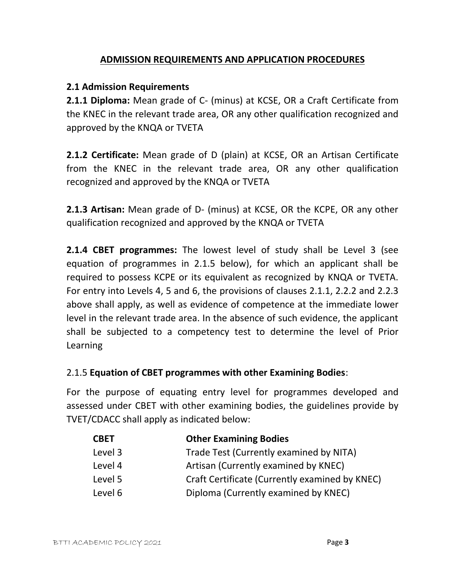#### **ADMISSION REQUIREMENTS AND APPLICATION PROCEDURES**

#### **2.1 Admission Requirements**

**2.1.1 Diploma:** Mean grade of C- (minus) at KCSE, OR a Craft Certificate from the KNEC in the relevant trade area, OR any other qualification recognized and approved by the KNQA or TVETA

**2.1.2 Certificate:** Mean grade of D (plain) at KCSE, OR an Artisan Certificate from the KNEC in the relevant trade area, OR any other qualification recognized and approved by the KNQA or TVETA

**2.1.3 Artisan:** Mean grade of D- (minus) at KCSE, OR the KCPE, OR any other qualification recognized and approved by the KNQA or TVETA

**2.1.4 CBET programmes:** The lowest level of study shall be Level 3 (see equation of programmes in 2.1.5 below), for which an applicant shall be required to possess KCPE or its equivalent as recognized by KNQA or TVETA. For entry into Levels 4, 5 and 6, the provisions of clauses 2.1.1, 2.2.2 and 2.2.3 above shall apply, as well as evidence of competence at the immediate lower level in the relevant trade area. In the absence of such evidence, the applicant shall be subjected to a competency test to determine the level of Prior Learning

#### 2.1.5 **Equation of CBET programmes with other Examining Bodies**:

For the purpose of equating entry level for programmes developed and assessed under CBET with other examining bodies, the guidelines provide by TVET/CDACC shall apply as indicated below:

| <b>CBET</b> | <b>Other Examining Bodies</b>                  |
|-------------|------------------------------------------------|
| Level 3     | Trade Test (Currently examined by NITA)        |
| Level 4     | Artisan (Currently examined by KNEC)           |
| Level 5     | Craft Certificate (Currently examined by KNEC) |
| Level 6     | Diploma (Currently examined by KNEC)           |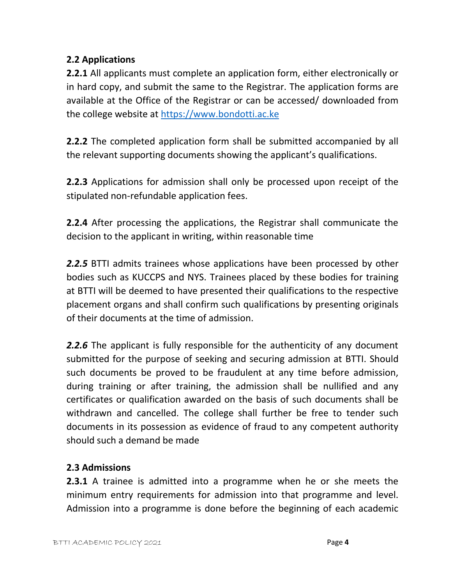#### **2.2 Applications**

**2.2.1** All applicants must complete an application form, either electronically or in hard copy, and submit the same to the Registrar. The application forms are available at the Office of the Registrar or can be accessed/ downloaded from the college website at [https://www.bondotti.ac.ke](https://www.bondotti.ac.ke/)

**2.2.2** The completed application form shall be submitted accompanied by all the relevant supporting documents showing the applicant's qualifications.

**2.2.3** Applications for admission shall only be processed upon receipt of the stipulated non-refundable application fees.

**2.2.4** After processing the applications, the Registrar shall communicate the decision to the applicant in writing, within reasonable time

*2.2.5* BTTI admits trainees whose applications have been processed by other bodies such as KUCCPS and NYS. Trainees placed by these bodies for training at BTTI will be deemed to have presented their qualifications to the respective placement organs and shall confirm such qualifications by presenting originals of their documents at the time of admission.

*2.2.6* The applicant is fully responsible for the authenticity of any document submitted for the purpose of seeking and securing admission at BTTI. Should such documents be proved to be fraudulent at any time before admission, during training or after training, the admission shall be nullified and any certificates or qualification awarded on the basis of such documents shall be withdrawn and cancelled. The college shall further be free to tender such documents in its possession as evidence of fraud to any competent authority should such a demand be made

#### **2.3 Admissions**

**2.3.1** A trainee is admitted into a programme when he or she meets the minimum entry requirements for admission into that programme and level. Admission into a programme is done before the beginning of each academic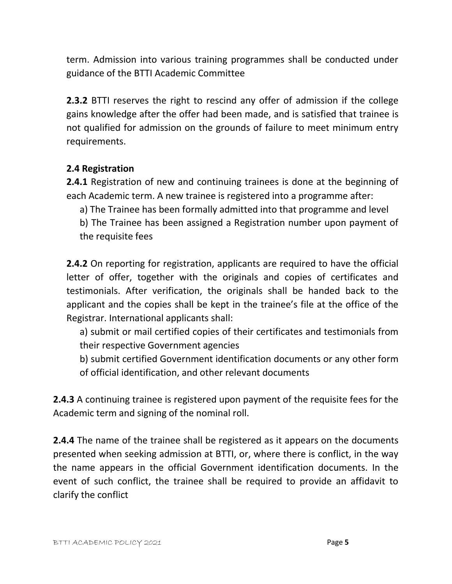term. Admission into various training programmes shall be conducted under guidance of the BTTI Academic Committee

**2.3.2** BTTI reserves the right to rescind any offer of admission if the college gains knowledge after the offer had been made, and is satisfied that trainee is not qualified for admission on the grounds of failure to meet minimum entry requirements.

#### **2.4 Registration**

**2.4.1** Registration of new and continuing trainees is done at the beginning of each Academic term. A new trainee is registered into a programme after:

a) The Trainee has been formally admitted into that programme and level

b) The Trainee has been assigned a Registration number upon payment of the requisite fees

**2.4.2** On reporting for registration, applicants are required to have the official letter of offer, together with the originals and copies of certificates and testimonials. After verification, the originals shall be handed back to the applicant and the copies shall be kept in the trainee's file at the office of the Registrar. International applicants shall:

a) submit or mail certified copies of their certificates and testimonials from their respective Government agencies

b) submit certified Government identification documents or any other form of official identification, and other relevant documents

**2.4.3** A continuing trainee is registered upon payment of the requisite fees for the Academic term and signing of the nominal roll.

**2.4.4** The name of the trainee shall be registered as it appears on the documents presented when seeking admission at BTTI, or, where there is conflict, in the way the name appears in the official Government identification documents. In the event of such conflict, the trainee shall be required to provide an affidavit to clarify the conflict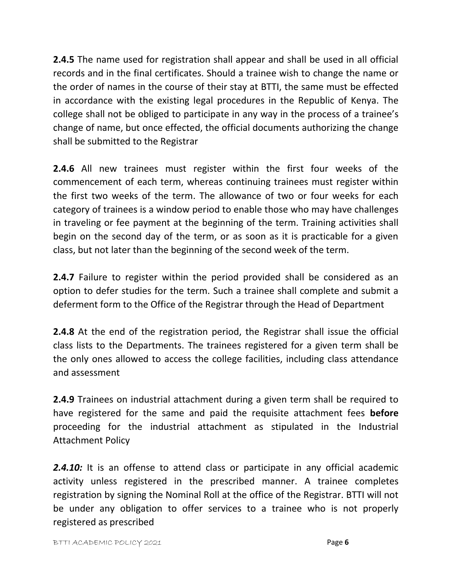**2.4.5** The name used for registration shall appear and shall be used in all official records and in the final certificates. Should a trainee wish to change the name or the order of names in the course of their stay at BTTI, the same must be effected in accordance with the existing legal procedures in the Republic of Kenya. The college shall not be obliged to participate in any way in the process of a trainee's change of name, but once effected, the official documents authorizing the change shall be submitted to the Registrar

**2.4.6** All new trainees must register within the first four weeks of the commencement of each term, whereas continuing trainees must register within the first two weeks of the term. The allowance of two or four weeks for each category of trainees is a window period to enable those who may have challenges in traveling or fee payment at the beginning of the term. Training activities shall begin on the second day of the term, or as soon as it is practicable for a given class, but not later than the beginning of the second week of the term.

**2.4.7** Failure to register within the period provided shall be considered as an option to defer studies for the term. Such a trainee shall complete and submit a deferment form to the Office of the Registrar through the Head of Department

**2.4.8** At the end of the registration period, the Registrar shall issue the official class lists to the Departments. The trainees registered for a given term shall be the only ones allowed to access the college facilities, including class attendance and assessment

**2.4.9** Trainees on industrial attachment during a given term shall be required to have registered for the same and paid the requisite attachment fees **before** proceeding for the industrial attachment as stipulated in the Industrial Attachment Policy

**2.4.10:** It is an offense to attend class or participate in any official academic activity unless registered in the prescribed manner. A trainee completes registration by signing the Nominal Roll at the office of the Registrar. BTTI will not be under any obligation to offer services to a trainee who is not properly registered as prescribed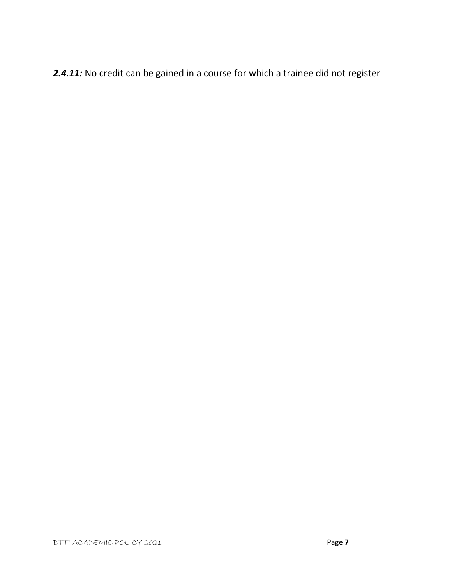*2.4.11:* No credit can be gained in a course for which a trainee did not register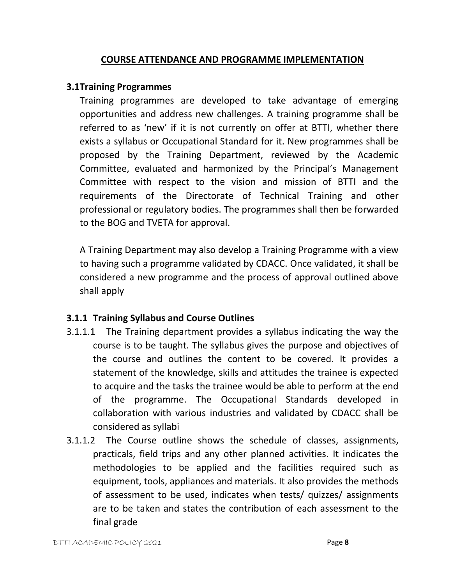#### **COURSE ATTENDANCE AND PROGRAMME IMPLEMENTATION**

#### **3.1Training Programmes**

Training programmes are developed to take advantage of emerging opportunities and address new challenges. A training programme shall be referred to as 'new' if it is not currently on offer at BTTI, whether there exists a syllabus or Occupational Standard for it. New programmes shall be proposed by the Training Department, reviewed by the Academic Committee, evaluated and harmonized by the Principal's Management Committee with respect to the vision and mission of BTTI and the requirements of the Directorate of Technical Training and other professional or regulatory bodies. The programmes shall then be forwarded to the BOG and TVETA for approval.

A Training Department may also develop a Training Programme with a view to having such a programme validated by CDACC. Once validated, it shall be considered a new programme and the process of approval outlined above shall apply

#### **3.1.1 Training Syllabus and Course Outlines**

- 3.1.1.1 The Training department provides a syllabus indicating the way the course is to be taught. The syllabus gives the purpose and objectives of the course and outlines the content to be covered. It provides a statement of the knowledge, skills and attitudes the trainee is expected to acquire and the tasks the trainee would be able to perform at the end of the programme. The Occupational Standards developed in collaboration with various industries and validated by CDACC shall be considered as syllabi
- 3.1.1.2 The Course outline shows the schedule of classes, assignments, practicals, field trips and any other planned activities. It indicates the methodologies to be applied and the facilities required such as equipment, tools, appliances and materials. It also provides the methods of assessment to be used, indicates when tests/ quizzes/ assignments are to be taken and states the contribution of each assessment to the final grade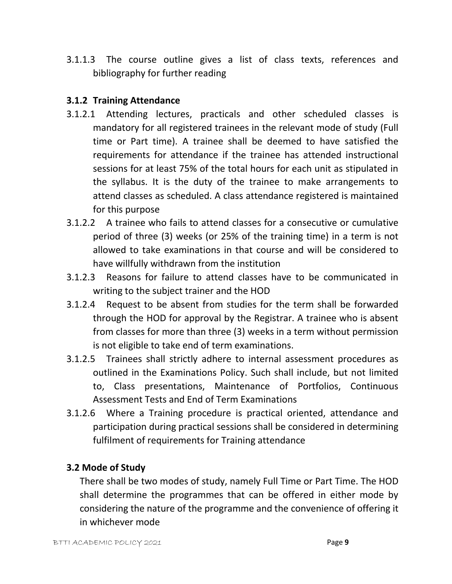3.1.1.3 The course outline gives a list of class texts, references and bibliography for further reading

#### **3.1.2 Training Attendance**

- 3.1.2.1 Attending lectures, practicals and other scheduled classes is mandatory for all registered trainees in the relevant mode of study (Full time or Part time). A trainee shall be deemed to have satisfied the requirements for attendance if the trainee has attended instructional sessions for at least 75% of the total hours for each unit as stipulated in the syllabus. It is the duty of the trainee to make arrangements to attend classes as scheduled. A class attendance registered is maintained for this purpose
- 3.1.2.2 A trainee who fails to attend classes for a consecutive or cumulative period of three (3) weeks (or 25% of the training time) in a term is not allowed to take examinations in that course and will be considered to have willfully withdrawn from the institution
- 3.1.2.3 Reasons for failure to attend classes have to be communicated in writing to the subject trainer and the HOD
- 3.1.2.4 Request to be absent from studies for the term shall be forwarded through the HOD for approval by the Registrar. A trainee who is absent from classes for more than three (3) weeks in a term without permission is not eligible to take end of term examinations.
- 3.1.2.5 Trainees shall strictly adhere to internal assessment procedures as outlined in the Examinations Policy. Such shall include, but not limited to, Class presentations, Maintenance of Portfolios, Continuous Assessment Tests and End of Term Examinations
- 3.1.2.6 Where a Training procedure is practical oriented, attendance and participation during practical sessions shall be considered in determining fulfilment of requirements for Training attendance

#### **3.2 Mode of Study**

There shall be two modes of study, namely Full Time or Part Time. The HOD shall determine the programmes that can be offered in either mode by considering the nature of the programme and the convenience of offering it in whichever mode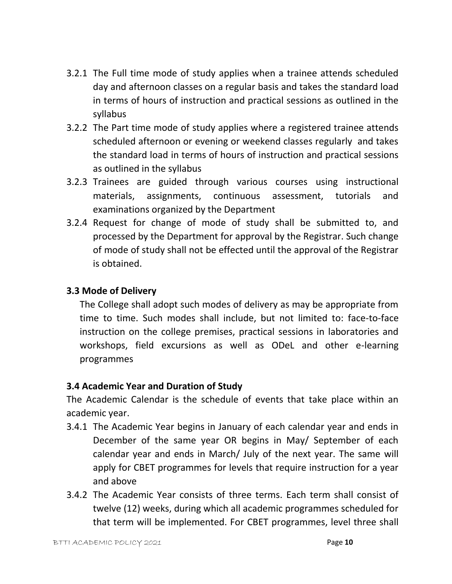- 3.2.1 The Full time mode of study applies when a trainee attends scheduled day and afternoon classes on a regular basis and takes the standard load in terms of hours of instruction and practical sessions as outlined in the syllabus
- 3.2.2 The Part time mode of study applies where a registered trainee attends scheduled afternoon or evening or weekend classes regularly and takes the standard load in terms of hours of instruction and practical sessions as outlined in the syllabus
- 3.2.3 Trainees are guided through various courses using instructional materials, assignments, continuous assessment, tutorials and examinations organized by the Department
- 3.2.4 Request for change of mode of study shall be submitted to, and processed by the Department for approval by the Registrar. Such change of mode of study shall not be effected until the approval of the Registrar is obtained.

#### **3.3 Mode of Delivery**

The College shall adopt such modes of delivery as may be appropriate from time to time. Such modes shall include, but not limited to: face-to-face instruction on the college premises, practical sessions in laboratories and workshops, field excursions as well as ODeL and other e-learning programmes

#### **3.4 Academic Year and Duration of Study**

The Academic Calendar is the schedule of events that take place within an academic year.

- 3.4.1 The Academic Year begins in January of each calendar year and ends in December of the same year OR begins in May/ September of each calendar year and ends in March/ July of the next year. The same will apply for CBET programmes for levels that require instruction for a year and above
- 3.4.2 The Academic Year consists of three terms. Each term shall consist of twelve (12) weeks, during which all academic programmes scheduled for that term will be implemented. For CBET programmes, level three shall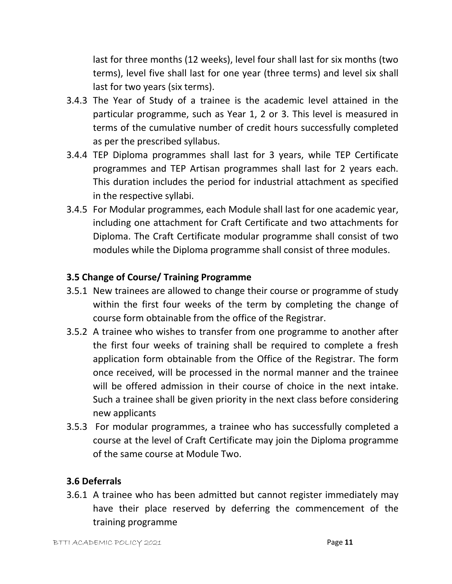last for three months (12 weeks), level four shall last for six months (two terms), level five shall last for one year (three terms) and level six shall last for two years (six terms).

- 3.4.3 The Year of Study of a trainee is the academic level attained in the particular programme, such as Year 1, 2 or 3. This level is measured in terms of the cumulative number of credit hours successfully completed as per the prescribed syllabus.
- 3.4.4 TEP Diploma programmes shall last for 3 years, while TEP Certificate programmes and TEP Artisan programmes shall last for 2 years each. This duration includes the period for industrial attachment as specified in the respective syllabi.
- 3.4.5 For Modular programmes, each Module shall last for one academic year, including one attachment for Craft Certificate and two attachments for Diploma. The Craft Certificate modular programme shall consist of two modules while the Diploma programme shall consist of three modules.

#### **3.5 Change of Course/ Training Programme**

- 3.5.1 New trainees are allowed to change their course or programme of study within the first four weeks of the term by completing the change of course form obtainable from the office of the Registrar.
- 3.5.2 A trainee who wishes to transfer from one programme to another after the first four weeks of training shall be required to complete a fresh application form obtainable from the Office of the Registrar. The form once received, will be processed in the normal manner and the trainee will be offered admission in their course of choice in the next intake. Such a trainee shall be given priority in the next class before considering new applicants
- 3.5.3 For modular programmes, a trainee who has successfully completed a course at the level of Craft Certificate may join the Diploma programme of the same course at Module Two.

#### **3.6 Deferrals**

3.6.1 A trainee who has been admitted but cannot register immediately may have their place reserved by deferring the commencement of the training programme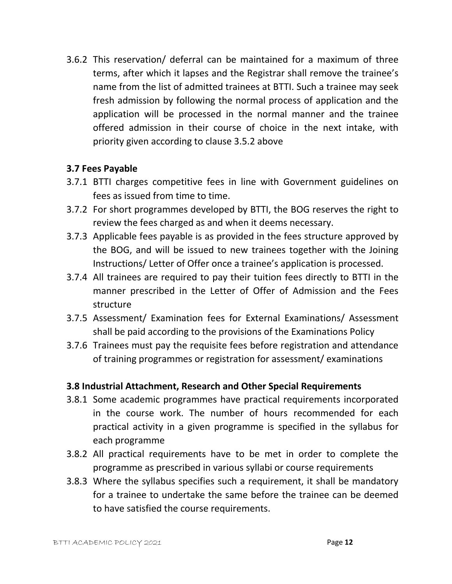3.6.2 This reservation/ deferral can be maintained for a maximum of three terms, after which it lapses and the Registrar shall remove the trainee's name from the list of admitted trainees at BTTI. Such a trainee may seek fresh admission by following the normal process of application and the application will be processed in the normal manner and the trainee offered admission in their course of choice in the next intake, with priority given according to clause 3.5.2 above

#### **3.7 Fees Payable**

- 3.7.1 BTTI charges competitive fees in line with Government guidelines on fees as issued from time to time.
- 3.7.2 For short programmes developed by BTTI, the BOG reserves the right to review the fees charged as and when it deems necessary.
- 3.7.3 Applicable fees payable is as provided in the fees structure approved by the BOG, and will be issued to new trainees together with the Joining Instructions/ Letter of Offer once a trainee's application is processed.
- 3.7.4 All trainees are required to pay their tuition fees directly to BTTI in the manner prescribed in the Letter of Offer of Admission and the Fees structure
- 3.7.5 Assessment/ Examination fees for External Examinations/ Assessment shall be paid according to the provisions of the Examinations Policy
- 3.7.6 Trainees must pay the requisite fees before registration and attendance of training programmes or registration for assessment/ examinations

#### **3.8 Industrial Attachment, Research and Other Special Requirements**

- 3.8.1 Some academic programmes have practical requirements incorporated in the course work. The number of hours recommended for each practical activity in a given programme is specified in the syllabus for each programme
- 3.8.2 All practical requirements have to be met in order to complete the programme as prescribed in various syllabi or course requirements
- 3.8.3 Where the syllabus specifies such a requirement, it shall be mandatory for a trainee to undertake the same before the trainee can be deemed to have satisfied the course requirements.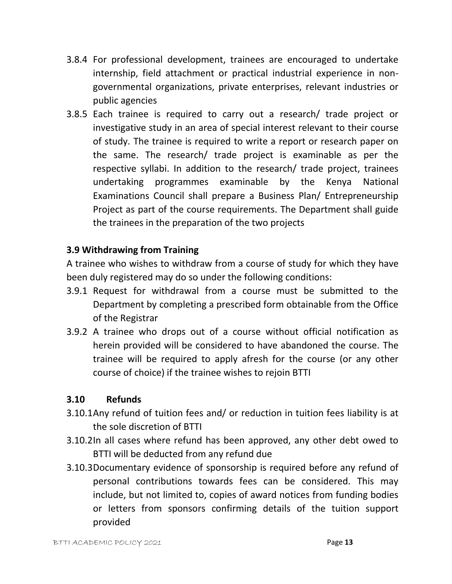- 3.8.4 For professional development, trainees are encouraged to undertake internship, field attachment or practical industrial experience in nongovernmental organizations, private enterprises, relevant industries or public agencies
- 3.8.5 Each trainee is required to carry out a research/ trade project or investigative study in an area of special interest relevant to their course of study. The trainee is required to write a report or research paper on the same. The research/ trade project is examinable as per the respective syllabi. In addition to the research/ trade project, trainees undertaking programmes examinable by the Kenya National Examinations Council shall prepare a Business Plan/ Entrepreneurship Project as part of the course requirements. The Department shall guide the trainees in the preparation of the two projects

#### **3.9 Withdrawing from Training**

A trainee who wishes to withdraw from a course of study for which they have been duly registered may do so under the following conditions:

- 3.9.1 Request for withdrawal from a course must be submitted to the Department by completing a prescribed form obtainable from the Office of the Registrar
- 3.9.2 A trainee who drops out of a course without official notification as herein provided will be considered to have abandoned the course. The trainee will be required to apply afresh for the course (or any other course of choice) if the trainee wishes to rejoin BTTI

#### **3.10 Refunds**

- 3.10.1Any refund of tuition fees and/ or reduction in tuition fees liability is at the sole discretion of BTTI
- 3.10.2In all cases where refund has been approved, any other debt owed to BTTI will be deducted from any refund due
- 3.10.3Documentary evidence of sponsorship is required before any refund of personal contributions towards fees can be considered. This may include, but not limited to, copies of award notices from funding bodies or letters from sponsors confirming details of the tuition support provided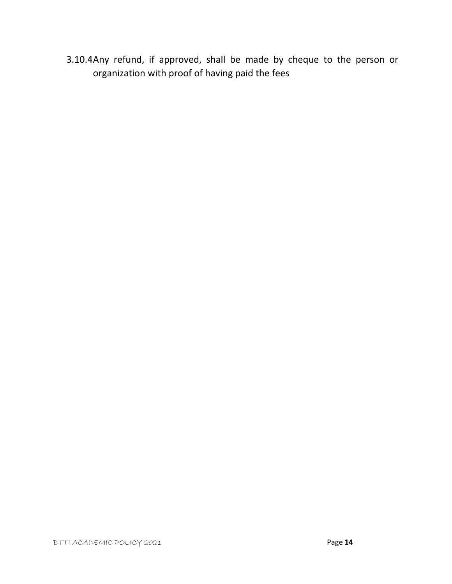3.10.4Any refund, if approved, shall be made by cheque to the person or organization with proof of having paid the fees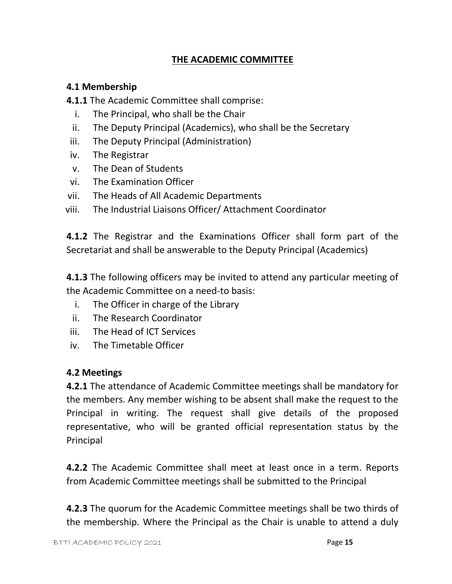#### **THE ACADEMIC COMMITTEE**

#### **4.1 Membership**

**4.1.1** The Academic Committee shall comprise:

- i. The Principal, who shall be the Chair
- ii. The Deputy Principal (Academics), who shall be the Secretary
- iii. The Deputy Principal (Administration)
- iv. The Registrar
- v. The Dean of Students
- vi. The Examination Officer
- vii. The Heads of All Academic Departments
- viii. The Industrial Liaisons Officer/ Attachment Coordinator

**4.1.2** The Registrar and the Examinations Officer shall form part of the Secretariat and shall be answerable to the Deputy Principal (Academics)

**4.1.3** The following officers may be invited to attend any particular meeting of the Academic Committee on a need-to basis:

- i. The Officer in charge of the Library
- ii. The Research Coordinator
- iii. The Head of ICT Services
- iv. The Timetable Officer

#### **4.2 Meetings**

**4.2.1** The attendance of Academic Committee meetings shall be mandatory for the members. Any member wishing to be absent shall make the request to the Principal in writing. The request shall give details of the proposed representative, who will be granted official representation status by the Principal

**4.2.2** The Academic Committee shall meet at least once in a term. Reports from Academic Committee meetings shall be submitted to the Principal

**4.2.3** The quorum for the Academic Committee meetings shall be two thirds of the membership. Where the Principal as the Chair is unable to attend a duly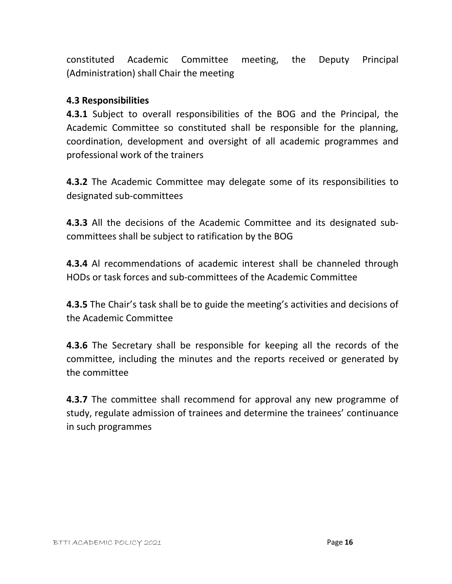constituted Academic Committee meeting, the Deputy Principal (Administration) shall Chair the meeting

#### **4.3 Responsibilities**

**4.3.1** Subject to overall responsibilities of the BOG and the Principal, the Academic Committee so constituted shall be responsible for the planning, coordination, development and oversight of all academic programmes and professional work of the trainers

**4.3.2** The Academic Committee may delegate some of its responsibilities to designated sub-committees

**4.3.3** All the decisions of the Academic Committee and its designated subcommittees shall be subject to ratification by the BOG

**4.3.4** Al recommendations of academic interest shall be channeled through HODs or task forces and sub-committees of the Academic Committee

**4.3.5** The Chair's task shall be to guide the meeting's activities and decisions of the Academic Committee

**4.3.6** The Secretary shall be responsible for keeping all the records of the committee, including the minutes and the reports received or generated by the committee

**4.3.7** The committee shall recommend for approval any new programme of study, regulate admission of trainees and determine the trainees' continuance in such programmes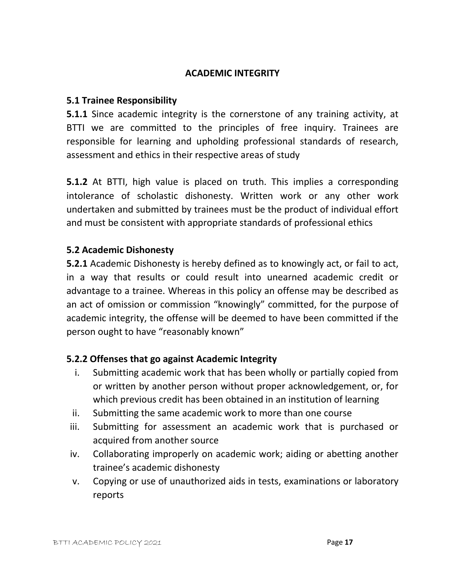#### **ACADEMIC INTEGRITY**

#### **5.1 Trainee Responsibility**

**5.1.1** Since academic integrity is the cornerstone of any training activity, at BTTI we are committed to the principles of free inquiry. Trainees are responsible for learning and upholding professional standards of research, assessment and ethics in their respective areas of study

**5.1.2** At BTTI, high value is placed on truth. This implies a corresponding intolerance of scholastic dishonesty. Written work or any other work undertaken and submitted by trainees must be the product of individual effort and must be consistent with appropriate standards of professional ethics

#### **5.2 Academic Dishonesty**

**5.2.1** Academic Dishonesty is hereby defined as to knowingly act, or fail to act, in a way that results or could result into unearned academic credit or advantage to a trainee. Whereas in this policy an offense may be described as an act of omission or commission "knowingly" committed, for the purpose of academic integrity, the offense will be deemed to have been committed if the person ought to have "reasonably known"

#### **5.2.2 Offenses that go against Academic Integrity**

- i. Submitting academic work that has been wholly or partially copied from or written by another person without proper acknowledgement, or, for which previous credit has been obtained in an institution of learning
- ii. Submitting the same academic work to more than one course
- iii. Submitting for assessment an academic work that is purchased or acquired from another source
- iv. Collaborating improperly on academic work; aiding or abetting another trainee's academic dishonesty
- v. Copying or use of unauthorized aids in tests, examinations or laboratory reports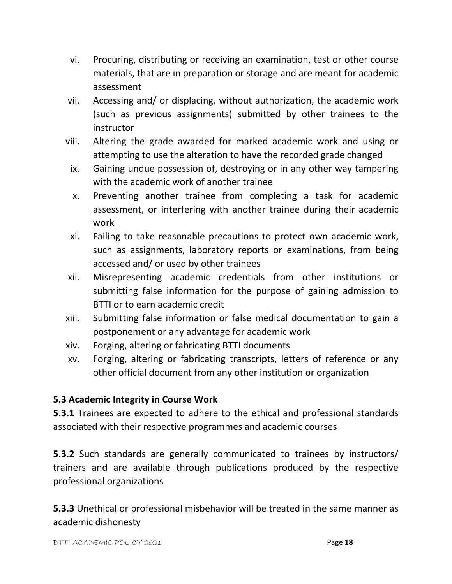- vi. Procuring, distributing or receiving an examination, test or other course materials, that are in preparation or storage and are meant for academic assessment
- vii. Accessing and/ or displacing, without authorization, the academic work (such as previous assignments) submitted by other trainees to the instructor
- viii. Altering the grade awarded for marked academic work and using or attempting to use the alteration to have the recorded grade changed
	- ix. Gaining undue possession of, destroying or in any other way tampering with the academic work of another trainee
	- x. Preventing another trainee from completing a task for academic assessment, or interfering with another trainee during their academic work
- xi. Failing to take reasonable precautions to protect own academic work, such as assignments, laboratory reports or examinations, from being accessed and/ or used by other trainees
- xii. Misrepresenting academic credentials from other institutions or submitting false information for the purpose of gaining admission to BTTI or to earn academic credit
- xiii. Submitting false information or false medical documentation to gain a postponement or any advantage for academic work
- xiv. Forging, altering or fabricating BTTI documents
- xv. Forging, altering or fabricating transcripts, letters of reference or any other official document from any other institution or organization

#### **5.3 Academic Integrity in Course Work**

**5.3.1** Trainees are expected to adhere to the ethical and professional standards associated with their respective programmes and academic courses

**5.3.2** Such standards are generally communicated to trainees by instructors/ trainers and are available through publications produced by the respective professional organizations

**5.3.3** Unethical or professional misbehavior will be treated in the same manner as academic dishonesty